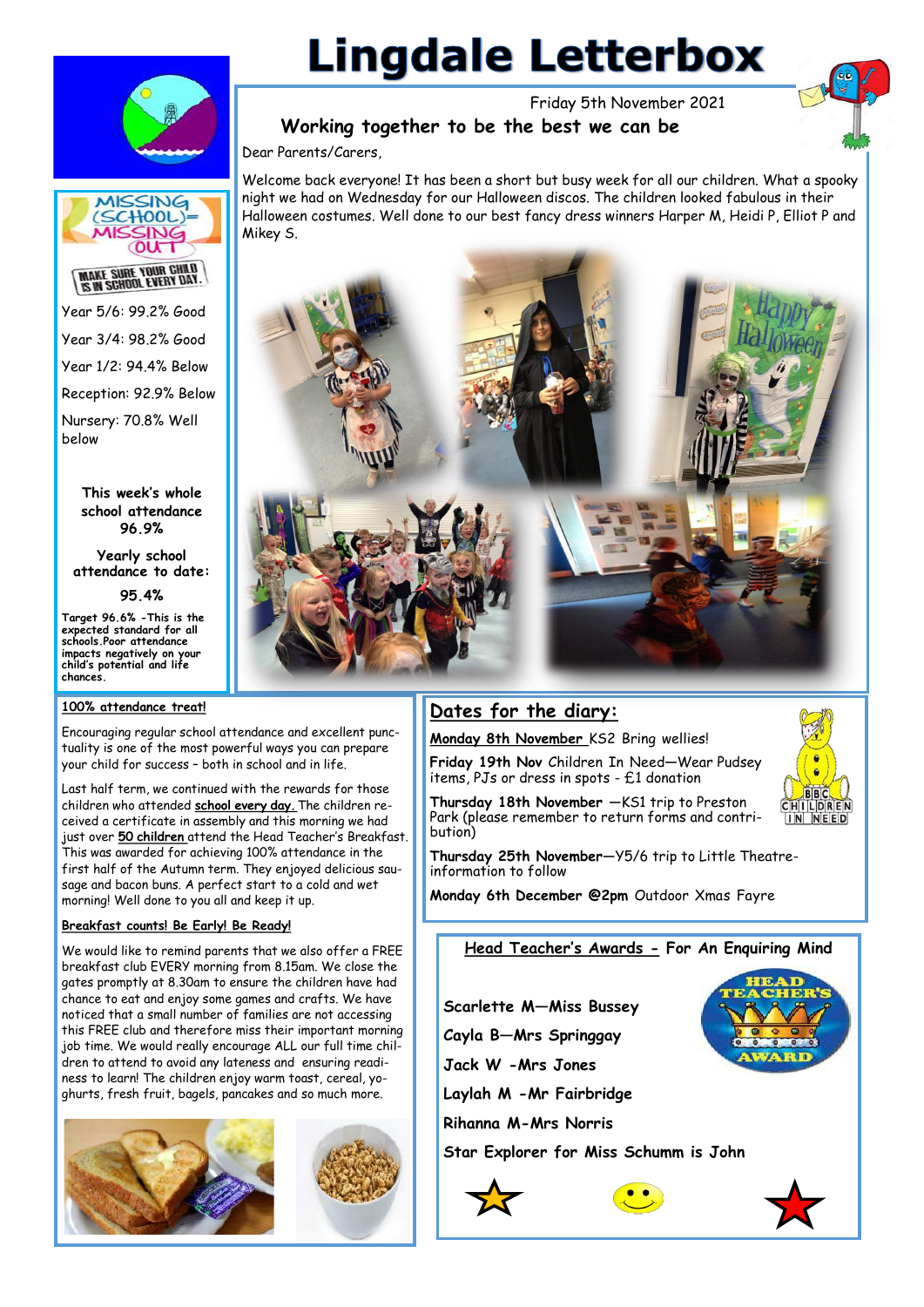

# **Lingdale Letterbox**

Friday 5th November 2021



# **Working together to be the best we can be**

Dear Parents/Carers,

Welcome back everyone! It has been a short but busy week for all our children. What a spooky night we had on Wednesday for our Halloween discos. The children looked fabulous in their Halloween costumes. Well done to our best fancy dress winners Harper M, Heidi P, Elliot P and Mikey S.



# **Dates for the diary:**

bution)

**Monday 8th November** KS2 Bring wellies!

**Friday 19th Nov** Children In Need**—**Wear Pudsey items, PJs or dress in spots - £1 donation **Thursday 18th November** —KS1 trip to Preston

Park (please remember to return forms and contri-



**Thursday 25th November**—Y5/6 trip to Little Theatreinformation to follow

**Monday 6th December @2pm** Outdoor Xmas Fayre

# **Head Teacher's Awards - For An Enquiring Mind**

**Scarlette M—Miss Bussey**

**Cayla B—Mrs Springgay**

**Jack W -Mrs Jones** 

**Laylah M -Mr Fairbridge**

**Rihanna M-Mrs Norris**

**Star Explorer for Miss Schumm is John** 







Year 5/6: 99.2% Good Year 3/4: 98.2% Good Year 1/2: 94.4% Below Reception: 92.9% Below Nursery: 70.8% Well below

> **This week's whole school attendance 96.9%**

**Yearly school attendance to date:** 

**95.4%** 

**Target 96.6% -This is the expected standard for all schools.Poor attendance impacts negatively on your child's potential and life chances.** 

# **100% attendance treat!**

Encouraging regular school attendance and excellent punctuality is one of the most powerful ways you can prepare your child for success – both in school and in life.

Last half term, we continued with the rewards for those children who attended **school every day.** The children received a certificate in assembly and this morning we had just over **50 children** attend the Head Teacher's Breakfast. This was awarded for achieving 100% attendance in the first half of the Autumn term. They enjoyed delicious sausage and bacon buns. A perfect start to a cold and wet morning! Well done to you all and keep it up.

# **Breakfast counts! Be Early! Be Ready!**

We would like to remind parents that we also offer a FREE breakfast club EVERY morning from 8.15am. We close the gates promptly at 8.30am to ensure the children have had chance to eat and enjoy some games and crafts. We have noticed that a small number of families are not accessing this FREE club and therefore miss their important morning job time. We would really encourage ALL our full time children to attend to avoid any lateness and ensuring readiness to learn! The children enjoy warm toast, cereal, yoghurts, fresh fruit, bagels, pancakes and so much more.